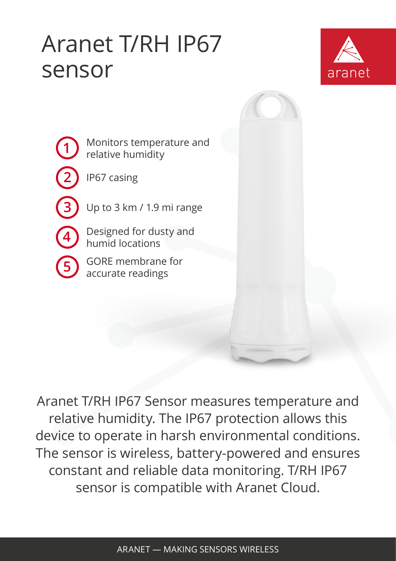## Aranet T/RH IP67 sensor



**1 2 3 4** Monitors temperature and relative humidity IP67 casing Up to 3 km / 1.9 mi range Designed for dusty and

**5** GORE membrane for accurate readings humid locations

Aranet T/RH IP67 Sensor measures temperature and relative humidity. The IP67 protection allows this device to operate in harsh environmental conditions. The sensor is wireless, battery-powered and ensures constant and reliable data monitoring. T/RH IP67 sensor is compatible with Aranet Cloud.